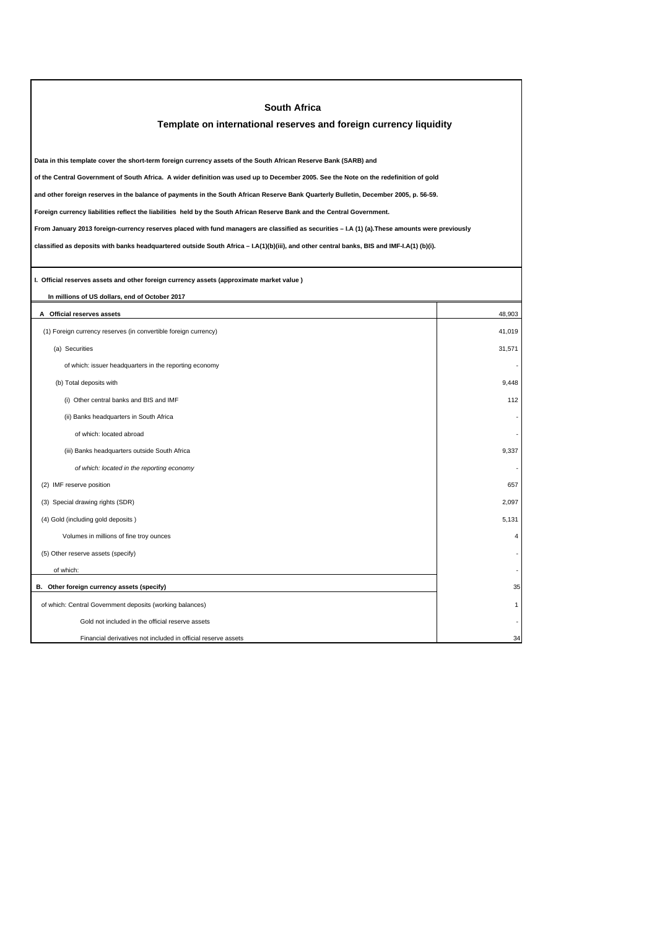| <b>South Africa</b>                                                                                                                             |                         |  |  |  |
|-------------------------------------------------------------------------------------------------------------------------------------------------|-------------------------|--|--|--|
| Template on international reserves and foreign currency liquidity                                                                               |                         |  |  |  |
|                                                                                                                                                 |                         |  |  |  |
| Data in this template cover the short-term foreign currency assets of the South African Reserve Bank (SARB) and                                 |                         |  |  |  |
| of the Central Government of South Africa. A wider definition was used up to December 2005. See the Note on the redefinition of gold            |                         |  |  |  |
| and other foreign reserves in the balance of payments in the South African Reserve Bank Quarterly Bulletin, December 2005, p. 56-59.            |                         |  |  |  |
| Foreign currency liabilities reflect the liabilities held by the South African Reserve Bank and the Central Government.                         |                         |  |  |  |
| From January 2013 foreign-currency reserves placed with fund managers are classified as securities - I.A (1) (a). These amounts were previously |                         |  |  |  |
| classified as deposits with banks headquartered outside South Africa - I.A(1)(b)(iii), and other central banks, BIS and IMF-I.A(1) (b)(i).      |                         |  |  |  |
|                                                                                                                                                 |                         |  |  |  |
| I. Official reserves assets and other foreign currency assets (approximate market value)                                                        |                         |  |  |  |
| In millions of US dollars, end of October 2017                                                                                                  |                         |  |  |  |
| A Official reserves assets                                                                                                                      | 48,903                  |  |  |  |
| (1) Foreign currency reserves (in convertible foreign currency)                                                                                 | 41,019                  |  |  |  |
| (a) Securities                                                                                                                                  | 31.571                  |  |  |  |
| of which: issuer headquarters in the reporting economy                                                                                          |                         |  |  |  |
| (b) Total deposits with                                                                                                                         | 9,448                   |  |  |  |
| (i) Other central banks and BIS and IMF                                                                                                         | 112                     |  |  |  |
| (ii) Banks headquarters in South Africa                                                                                                         |                         |  |  |  |
| of which: located abroad                                                                                                                        |                         |  |  |  |
| (iii) Banks headquarters outside South Africa                                                                                                   | 9,337                   |  |  |  |
| of which: located in the reporting economy                                                                                                      |                         |  |  |  |
| (2) IMF reserve position                                                                                                                        | 657                     |  |  |  |
| (3) Special drawing rights (SDR)                                                                                                                | 2,097                   |  |  |  |
| (4) Gold (including gold deposits)                                                                                                              | 5,131                   |  |  |  |
| Volumes in millions of fine troy ounces                                                                                                         | $\overline{\mathbf{A}}$ |  |  |  |
| (5) Other reserve assets (specify)                                                                                                              |                         |  |  |  |
| of which:                                                                                                                                       |                         |  |  |  |
| B. Other foreign currency assets (specify)                                                                                                      | 35                      |  |  |  |
| of which: Central Government deposits (working balances)                                                                                        | 1                       |  |  |  |
| Gold not included in the official reserve assets                                                                                                |                         |  |  |  |
| Financial derivatives not included in official reserve assets                                                                                   | 34                      |  |  |  |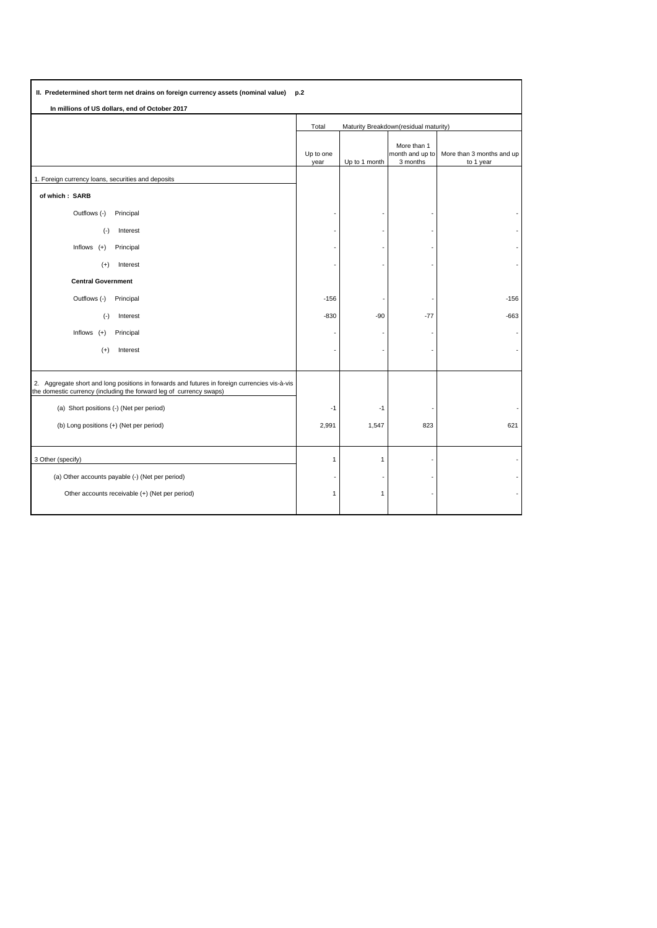| II. Predetermined short term net drains on foreign currency assets (nominal value)<br>p.2                                                                            |                                                |               |                                            |                                        |  |
|----------------------------------------------------------------------------------------------------------------------------------------------------------------------|------------------------------------------------|---------------|--------------------------------------------|----------------------------------------|--|
| In millions of US dollars, end of October 2017                                                                                                                       |                                                |               |                                            |                                        |  |
|                                                                                                                                                                      | Maturity Breakdown(residual maturity)<br>Total |               |                                            |                                        |  |
|                                                                                                                                                                      | Up to one<br>year                              | Up to 1 month | More than 1<br>month and up to<br>3 months | More than 3 months and up<br>to 1 year |  |
| 1. Foreign currency loans, securities and deposits                                                                                                                   |                                                |               |                                            |                                        |  |
| of which: SARB                                                                                                                                                       |                                                |               |                                            |                                        |  |
| Outflows (-)<br>Principal                                                                                                                                            |                                                |               |                                            |                                        |  |
| $(\cdot)$<br>Interest                                                                                                                                                |                                                |               |                                            |                                        |  |
| Inflows $(+)$<br>Principal                                                                                                                                           |                                                |               |                                            |                                        |  |
| Interest<br>$(+)$                                                                                                                                                    |                                                |               |                                            |                                        |  |
| <b>Central Government</b>                                                                                                                                            |                                                |               |                                            |                                        |  |
| Outflows (-)<br>Principal                                                                                                                                            | $-156$                                         |               |                                            | $-156$                                 |  |
| $(-)$<br>Interest                                                                                                                                                    | $-830$                                         | $-90$         | $-77$                                      | $-663$                                 |  |
| Inflows $(+)$<br>Principal                                                                                                                                           |                                                |               |                                            |                                        |  |
| $(+)$<br>Interest                                                                                                                                                    |                                                |               |                                            |                                        |  |
|                                                                                                                                                                      |                                                |               |                                            |                                        |  |
| 2. Aggregate short and long positions in forwards and futures in foreign currencies vis-à-vis<br>the domestic currency (including the forward leg of currency swaps) |                                                |               |                                            |                                        |  |
| (a) Short positions (-) (Net per period)                                                                                                                             | $-1$                                           | $-1$          |                                            |                                        |  |
| (b) Long positions (+) (Net per period)                                                                                                                              | 2,991                                          | 1,547         | 823                                        | 621                                    |  |
|                                                                                                                                                                      |                                                |               |                                            |                                        |  |
| 3 Other (specify)                                                                                                                                                    | $\mathbf{1}$                                   | 1             |                                            |                                        |  |
| (a) Other accounts payable (-) (Net per period)                                                                                                                      |                                                |               |                                            |                                        |  |
| Other accounts receivable (+) (Net per period)                                                                                                                       | $\overline{1}$                                 | $\mathbf{1}$  |                                            |                                        |  |
|                                                                                                                                                                      |                                                |               |                                            |                                        |  |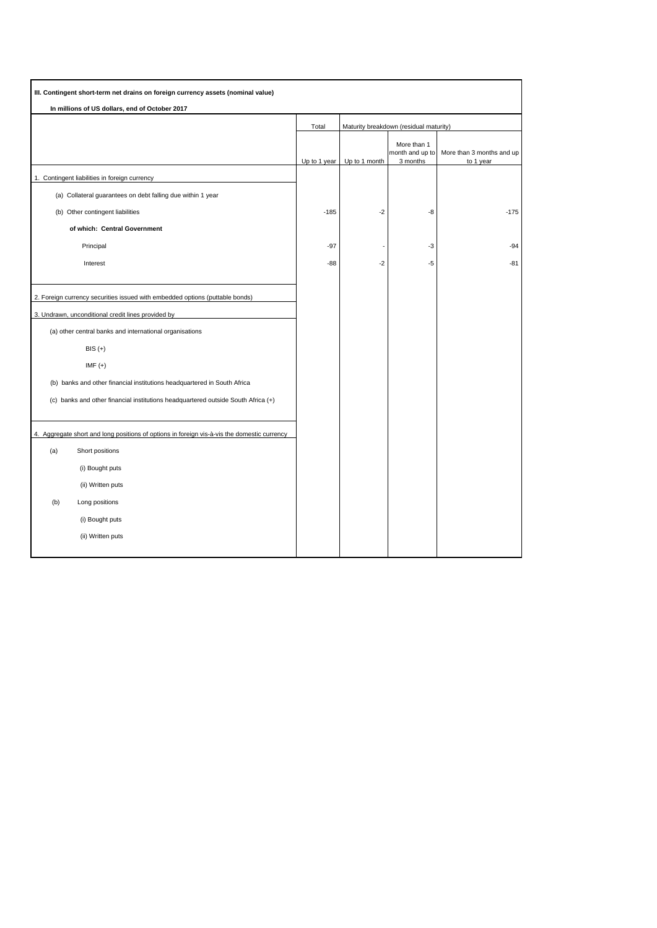| III. Contingent short-term net drains on foreign currency assets (nominal value)            |              |               |                                            |                                        |
|---------------------------------------------------------------------------------------------|--------------|---------------|--------------------------------------------|----------------------------------------|
| In millions of US dollars, end of October 2017                                              |              |               |                                            |                                        |
|                                                                                             | Total        |               | Maturity breakdown (residual maturity)     |                                        |
|                                                                                             | Up to 1 year | Up to 1 month | More than 1<br>month and up to<br>3 months | More than 3 months and up<br>to 1 year |
| 1. Contingent liabilities in foreign currency                                               |              |               |                                            |                                        |
| (a) Collateral guarantees on debt falling due within 1 year                                 |              |               |                                            |                                        |
| (b) Other contingent liabilities                                                            | $-185$       | $-2$          | -8                                         | $-175$                                 |
| of which: Central Government                                                                |              |               |                                            |                                        |
| Principal                                                                                   | $-97$        |               | -3                                         | $-94$                                  |
| Interest                                                                                    | $-88$        | $-2$          | $-5$                                       | $-81$                                  |
|                                                                                             |              |               |                                            |                                        |
| 2. Foreign currency securities issued with embedded options (puttable bonds)                |              |               |                                            |                                        |
| 3. Undrawn, unconditional credit lines provided by                                          |              |               |                                            |                                        |
| (a) other central banks and international organisations                                     |              |               |                                            |                                        |
| $BIS (+)$                                                                                   |              |               |                                            |                                        |
| IMF $(+)$                                                                                   |              |               |                                            |                                        |
| (b) banks and other financial institutions headquartered in South Africa                    |              |               |                                            |                                        |
| (c) banks and other financial institutions headquartered outside South Africa (+)           |              |               |                                            |                                        |
|                                                                                             |              |               |                                            |                                        |
| 4. Aggregate short and long positions of options in foreign vis-à-vis the domestic currency |              |               |                                            |                                        |
| (a)<br>Short positions                                                                      |              |               |                                            |                                        |
| (i) Bought puts                                                                             |              |               |                                            |                                        |
| (ii) Written puts                                                                           |              |               |                                            |                                        |
| (b)<br>Long positions                                                                       |              |               |                                            |                                        |
| (i) Bought puts                                                                             |              |               |                                            |                                        |
| (ii) Written puts                                                                           |              |               |                                            |                                        |
|                                                                                             |              |               |                                            |                                        |